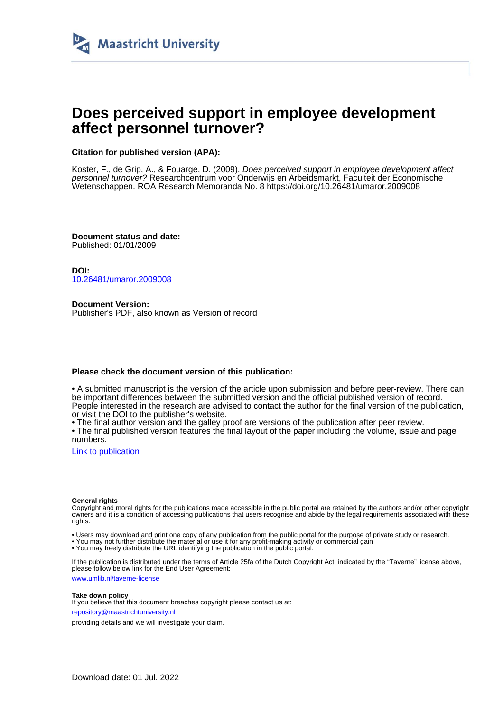

# **Does perceived support in employee development affect personnel turnover?**

#### **Citation for published version (APA):**

Koster, F., de Grip, A., & Fouarge, D. (2009). Does perceived support in employee development affect personnel turnover? Researchcentrum voor Onderwijs en Arbeidsmarkt, Faculteit der Economische Wetenschappen. ROA Research Memoranda No. 8 <https://doi.org/10.26481/umaror.2009008>

**Document status and date:** Published: 01/01/2009

**DOI:** [10.26481/umaror.2009008](https://doi.org/10.26481/umaror.2009008)

**Document Version:** Publisher's PDF, also known as Version of record

#### **Please check the document version of this publication:**

• A submitted manuscript is the version of the article upon submission and before peer-review. There can be important differences between the submitted version and the official published version of record. People interested in the research are advised to contact the author for the final version of the publication, or visit the DOI to the publisher's website.

• The final author version and the galley proof are versions of the publication after peer review.

• The final published version features the final layout of the paper including the volume, issue and page numbers.

[Link to publication](https://cris.maastrichtuniversity.nl/en/publications/e6c06bab-e83a-49e5-a15e-9d0831c747d2)

#### **General rights**

Copyright and moral rights for the publications made accessible in the public portal are retained by the authors and/or other copyright owners and it is a condition of accessing publications that users recognise and abide by the legal requirements associated with these rights.

• Users may download and print one copy of any publication from the public portal for the purpose of private study or research.

• You may not further distribute the material or use it for any profit-making activity or commercial gain

• You may freely distribute the URL identifying the publication in the public portal.

If the publication is distributed under the terms of Article 25fa of the Dutch Copyright Act, indicated by the "Taverne" license above, please follow below link for the End User Agreement:

www.umlib.nl/taverne-license

#### **Take down policy**

If you believe that this document breaches copyright please contact us at: repository@maastrichtuniversity.nl

providing details and we will investigate your claim.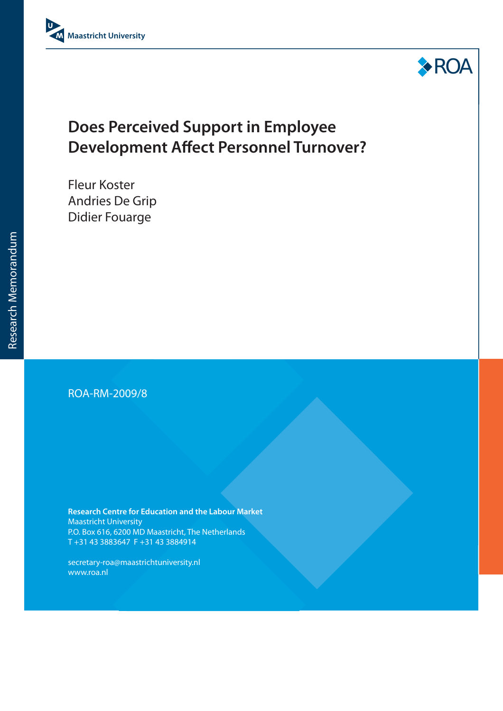



# **Does Perceived Support in Employee Development Affect Personnel Turnover?**

Fleur Koster Andries De Grip Didier Fouarge

## ROA-RM-2009/8

**Research Centre for Education and the Labour Market** Maastricht University P.O. Box 616, 6200 MD Maastricht, The Netherlands T +31 43 3883647 F +31 43 3884914

secretary-roa@maastrichtuniversity.nl www.roa.nl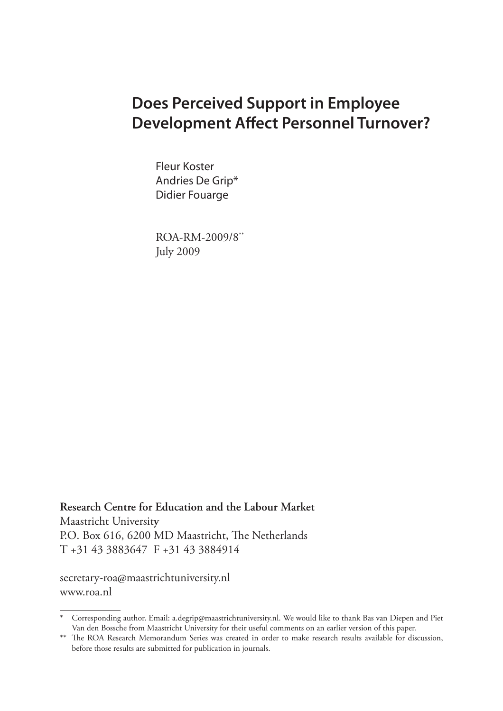# **Does Perceived Support in Employee Development Affect Personnel Turnover?**

Fleur Koster Andries De Grip\* Didier Fouarge

ROA-RM-2009/8\*\* July 2009

**Research Centre for Education and the Labour Market** Maastricht Universit**y** P.O. Box 616, 6200 MD Maastricht, The Netherlands T +31 43 3883647 F +31 43 3884914

secretary-roa@maastrichtuniversity.nl www.roa.nl

<sup>\*</sup> Corresponding author. Email: a.degrip@maastrichtuniversity.nl. We would like to thank Bas van Diepen and Piet Van den Bossche from Maastricht University for their useful comments on an earlier version of this paper.

<sup>\*\*</sup> The ROA Research Memorandum Series was created in order to make research results available for discussion, before those results are submitted for publication in journals.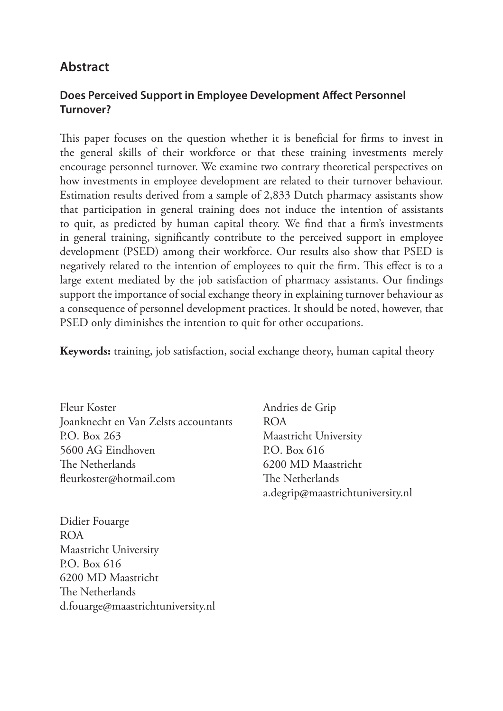# **Abstract**

## **Does Perceived Support in Employee Development Affect Personnel Turnover?**

This paper focuses on the question whether it is beneficial for firms to invest in the general skills of their workforce or that these training investments merely encourage personnel turnover. We examine two contrary theoretical perspectives on how investments in employee development are related to their turnover behaviour. Estimation results derived from a sample of 2,833 Dutch pharmacy assistants show that participation in general training does not induce the intention of assistants to quit, as predicted by human capital theory. We find that a firm's investments in general training, significantly contribute to the perceived support in employee development (PSED) among their workforce. Our results also show that PSED is negatively related to the intention of employees to quit the firm. This effect is to a large extent mediated by the job satisfaction of pharmacy assistants. Our findings support the importance of social exchange theory in explaining turnover behaviour as a consequence of personnel development practices. It should be noted, however, that PSED only diminishes the intention to quit for other occupations.

**Keywords:** training, job satisfaction, social exchange theory, human capital theory

Fleur Koster Joanknecht en Van Zelsts accountants P.O. Box 263 5600 AG Eindhoven The Netherlands fleurkoster@hotmail.com

Didier Fouarge ROA Maastricht University P.O. Box 616 6200 MD Maastricht The Netherlands d.fouarge@maastrichtuniversity.nl Andries de Grip ROA Maastricht University P.O. Box 616 6200 MD Maastricht The Netherlands a.degrip@maastrichtuniversity.nl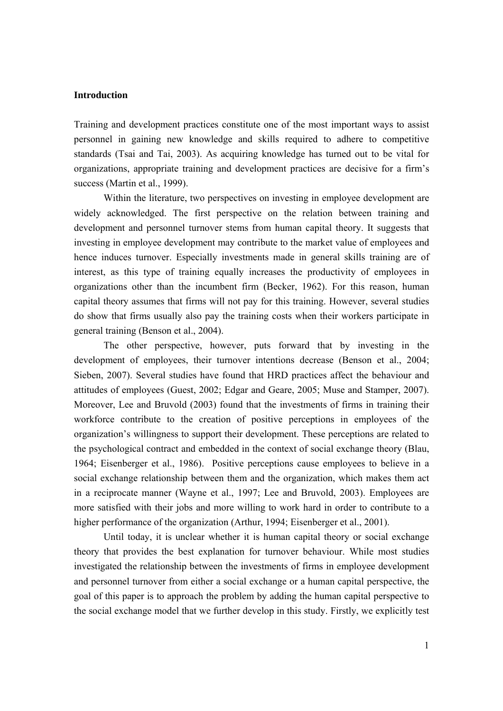#### **Introduction**

Training and development practices constitute one of the most important ways to assist personnel in gaining new knowledge and skills required to adhere to competitive standards (Tsai and Tai, 2003). As acquiring knowledge has turned out to be vital for organizations, appropriate training and development practices are decisive for a firm's success (Martin et al., 1999).

Within the literature, two perspectives on investing in employee development are widely acknowledged. The first perspective on the relation between training and development and personnel turnover stems from human capital theory. It suggests that investing in employee development may contribute to the market value of employees and hence induces turnover. Especially investments made in general skills training are of interest, as this type of training equally increases the productivity of employees in organizations other than the incumbent firm (Becker, 1962). For this reason, human capital theory assumes that firms will not pay for this training. However, several studies do show that firms usually also pay the training costs when their workers participate in general training (Benson et al., 2004).

The other perspective, however, puts forward that by investing in the development of employees, their turnover intentions decrease (Benson et al., 2004; Sieben, 2007). Several studies have found that HRD practices affect the behaviour and attitudes of employees (Guest, 2002; Edgar and Geare, 2005; Muse and Stamper, 2007). Moreover, Lee and Bruvold (2003) found that the investments of firms in training their workforce contribute to the creation of positive perceptions in employees of the organization's willingness to support their development. These perceptions are related to the psychological contract and embedded in the context of social exchange theory (Blau, 1964; Eisenberger et al., 1986). Positive perceptions cause employees to believe in a social exchange relationship between them and the organization, which makes them act in a reciprocate manner (Wayne et al., 1997; Lee and Bruvold, 2003). Employees are more satisfied with their jobs and more willing to work hard in order to contribute to a higher performance of the organization (Arthur, 1994; Eisenberger et al., 2001).

Until today, it is unclear whether it is human capital theory or social exchange theory that provides the best explanation for turnover behaviour. While most studies investigated the relationship between the investments of firms in employee development and personnel turnover from either a social exchange or a human capital perspective, the goal of this paper is to approach the problem by adding the human capital perspective to the social exchange model that we further develop in this study. Firstly, we explicitly test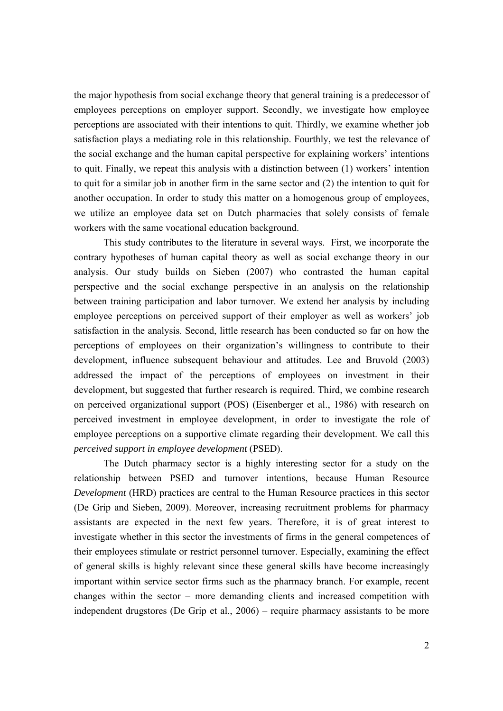the major hypothesis from social exchange theory that general training is a predecessor of employees perceptions on employer support. Secondly, we investigate how employee perceptions are associated with their intentions to quit. Thirdly, we examine whether job satisfaction plays a mediating role in this relationship. Fourthly, we test the relevance of the social exchange and the human capital perspective for explaining workers' intentions to quit. Finally, we repeat this analysis with a distinction between (1) workers' intention to quit for a similar job in another firm in the same sector and (2) the intention to quit for another occupation. In order to study this matter on a homogenous group of employees, we utilize an employee data set on Dutch pharmacies that solely consists of female workers with the same vocational education background.

This study contributes to the literature in several ways. First, we incorporate the contrary hypotheses of human capital theory as well as social exchange theory in our analysis. Our study builds on Sieben (2007) who contrasted the human capital perspective and the social exchange perspective in an analysis on the relationship between training participation and labor turnover. We extend her analysis by including employee perceptions on perceived support of their employer as well as workers' job satisfaction in the analysis. Second, little research has been conducted so far on how the perceptions of employees on their organization's willingness to contribute to their development, influence subsequent behaviour and attitudes. Lee and Bruvold (2003) addressed the impact of the perceptions of employees on investment in their development, but suggested that further research is required. Third, we combine research on perceived organizational support (POS) (Eisenberger et al., 1986) with research on perceived investment in employee development, in order to investigate the role of employee perceptions on a supportive climate regarding their development. We call this *perceived support in employee development* (PSED).

The Dutch pharmacy sector is a highly interesting sector for a study on the relationship between PSED and turnover intentions, because Human Resource *Development* (HRD) practices are central to the Human Resource practices in this sector (De Grip and Sieben, 2009). Moreover, increasing recruitment problems for pharmacy assistants are expected in the next few years. Therefore, it is of great interest to investigate whether in this sector the investments of firms in the general competences of their employees stimulate or restrict personnel turnover. Especially, examining the effect of general skills is highly relevant since these general skills have become increasingly important within service sector firms such as the pharmacy branch. For example, recent changes within the sector – more demanding clients and increased competition with independent drugstores (De Grip et al., 2006) – require pharmacy assistants to be more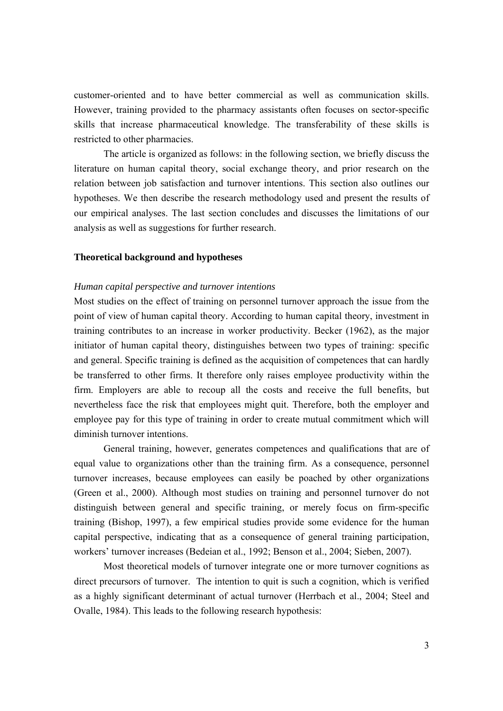customer-oriented and to have better commercial as well as communication skills. However, training provided to the pharmacy assistants often focuses on sector-specific skills that increase pharmaceutical knowledge. The transferability of these skills is restricted to other pharmacies.

The article is organized as follows: in the following section, we briefly discuss the literature on human capital theory, social exchange theory, and prior research on the relation between job satisfaction and turnover intentions. This section also outlines our hypotheses. We then describe the research methodology used and present the results of our empirical analyses. The last section concludes and discusses the limitations of our analysis as well as suggestions for further research.

#### **Theoretical background and hypotheses**

#### *Human capital perspective and turnover intentions*

Most studies on the effect of training on personnel turnover approach the issue from the point of view of human capital theory. According to human capital theory, investment in training contributes to an increase in worker productivity. Becker (1962), as the major initiator of human capital theory, distinguishes between two types of training: specific and general. Specific training is defined as the acquisition of competences that can hardly be transferred to other firms. It therefore only raises employee productivity within the firm. Employers are able to recoup all the costs and receive the full benefits, but nevertheless face the risk that employees might quit. Therefore, both the employer and employee pay for this type of training in order to create mutual commitment which will diminish turnover intentions.

General training, however, generates competences and qualifications that are of equal value to organizations other than the training firm. As a consequence, personnel turnover increases, because employees can easily be poached by other organizations (Green et al., 2000). Although most studies on training and personnel turnover do not distinguish between general and specific training, or merely focus on firm-specific training (Bishop, 1997), a few empirical studies provide some evidence for the human capital perspective, indicating that as a consequence of general training participation, workers' turnover increases (Bedeian et al., 1992; Benson et al., 2004; Sieben, 2007).

Most theoretical models of turnover integrate one or more turnover cognitions as direct precursors of turnover. The intention to quit is such a cognition, which is verified as a highly significant determinant of actual turnover (Herrbach et al., 2004; Steel and Ovalle, 1984). This leads to the following research hypothesis: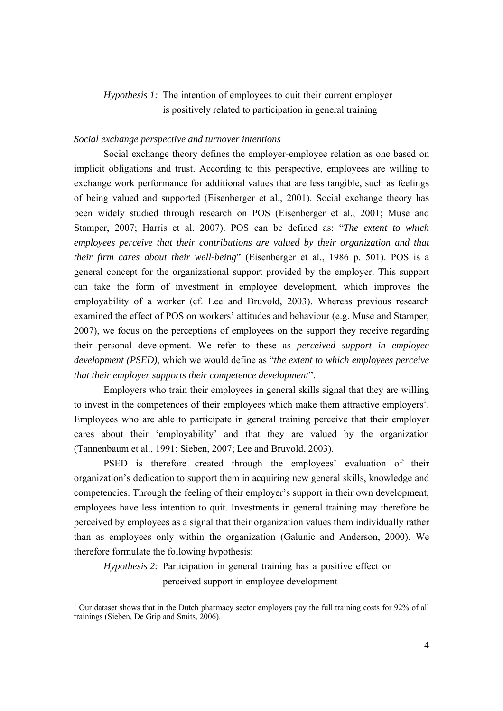## *Hypothesis 1:* The intention of employees to quit their current employer is positively related to participation in general training

#### *Social exchange perspective and turnover intentions*

Social exchange theory defines the employer-employee relation as one based on implicit obligations and trust. According to this perspective, employees are willing to exchange work performance for additional values that are less tangible, such as feelings of being valued and supported (Eisenberger et al., 2001). Social exchange theory has been widely studied through research on POS (Eisenberger et al., 2001; Muse and Stamper, 2007; Harris et al. 2007). POS can be defined as: "*The extent to which employees perceive that their contributions are valued by their organization and that their firm cares about their well-being*" (Eisenberger et al., 1986 p. 501). POS is a general concept for the organizational support provided by the employer. This support can take the form of investment in employee development, which improves the employability of a worker (cf. Lee and Bruvold, 2003). Whereas previous research examined the effect of POS on workers' attitudes and behaviour (e.g. Muse and Stamper, 2007), we focus on the perceptions of employees on the support they receive regarding their personal development. We refer to these as *perceived support in employee development (PSED)*, which we would define as "*the extent to which employees perceive that their employer supports their competence development*".

 Employers who train their employees in general skills signal that they are willing to invest in the competences of their employees which make them attractive employers<sup>1</sup>. Employees who are able to participate in general training perceive that their employer cares about their 'employability' and that they are valued by the organization (Tannenbaum et al., 1991; Sieben, 2007; Lee and Bruvold, 2003).

PSED is therefore created through the employees' evaluation of their organization's dedication to support them in acquiring new general skills, knowledge and competencies. Through the feeling of their employer's support in their own development, employees have less intention to quit. Investments in general training may therefore be perceived by employees as a signal that their organization values them individually rather than as employees only within the organization (Galunic and Anderson, 2000). We therefore formulate the following hypothesis:

*Hypothesis 2:* Participation in general training has a positive effect on perceived support in employee development

<sup>&</sup>lt;sup>1</sup> Our dataset shows that in the Dutch pharmacy sector employers pay the full training costs for 92% of all trainings (Sieben, De Grip and Smits, 2006).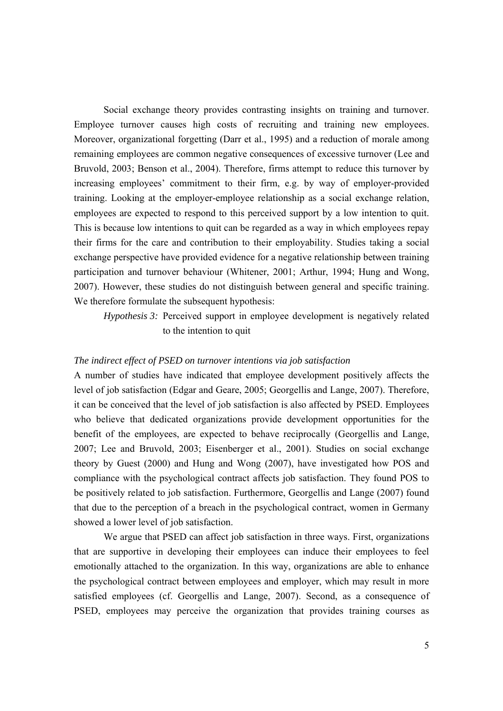Social exchange theory provides contrasting insights on training and turnover. Employee turnover causes high costs of recruiting and training new employees. Moreover, organizational forgetting (Darr et al., 1995) and a reduction of morale among remaining employees are common negative consequences of excessive turnover (Lee and Bruvold, 2003; Benson et al., 2004). Therefore, firms attempt to reduce this turnover by increasing employees' commitment to their firm, e.g. by way of employer-provided training. Looking at the employer-employee relationship as a social exchange relation, employees are expected to respond to this perceived support by a low intention to quit. This is because low intentions to quit can be regarded as a way in which employees repay their firms for the care and contribution to their employability. Studies taking a social exchange perspective have provided evidence for a negative relationship between training participation and turnover behaviour (Whitener, 2001; Arthur, 1994; Hung and Wong, 2007). However, these studies do not distinguish between general and specific training. We therefore formulate the subsequent hypothesis:

*Hypothesis 3:* Perceived support in employee development is negatively related to the intention to quit

### *The indirect effect of PSED on turnover intentions via job satisfaction*

A number of studies have indicated that employee development positively affects the level of job satisfaction (Edgar and Geare, 2005; Georgellis and Lange, 2007). Therefore, it can be conceived that the level of job satisfaction is also affected by PSED. Employees who believe that dedicated organizations provide development opportunities for the benefit of the employees, are expected to behave reciprocally (Georgellis and Lange, 2007; Lee and Bruvold, 2003; Eisenberger et al., 2001). Studies on social exchange theory by Guest (2000) and Hung and Wong (2007), have investigated how POS and compliance with the psychological contract affects job satisfaction. They found POS to be positively related to job satisfaction. Furthermore, Georgellis and Lange (2007) found that due to the perception of a breach in the psychological contract, women in Germany showed a lower level of job satisfaction.

We argue that PSED can affect job satisfaction in three ways. First, organizations that are supportive in developing their employees can induce their employees to feel emotionally attached to the organization. In this way, organizations are able to enhance the psychological contract between employees and employer, which may result in more satisfied employees (cf. Georgellis and Lange, 2007). Second, as a consequence of PSED, employees may perceive the organization that provides training courses as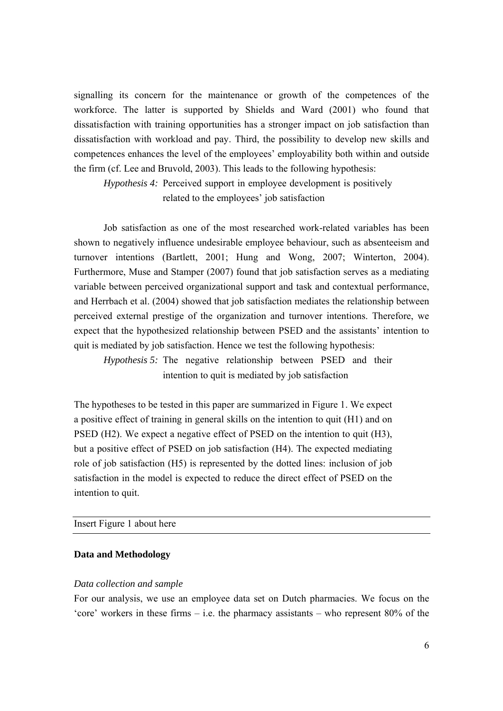signalling its concern for the maintenance or growth of the competences of the workforce. The latter is supported by Shields and Ward (2001) who found that dissatisfaction with training opportunities has a stronger impact on job satisfaction than dissatisfaction with workload and pay. Third, the possibility to develop new skills and competences enhances the level of the employees' employability both within and outside the firm (cf. Lee and Bruvold, 2003). This leads to the following hypothesis:

*Hypothesis 4:* Perceived support in employee development is positively related to the employees' job satisfaction

Job satisfaction as one of the most researched work-related variables has been shown to negatively influence undesirable employee behaviour, such as absenteeism and turnover intentions (Bartlett, 2001; Hung and Wong, 2007; Winterton, 2004). Furthermore, Muse and Stamper (2007) found that job satisfaction serves as a mediating variable between perceived organizational support and task and contextual performance, and Herrbach et al. (2004) showed that job satisfaction mediates the relationship between perceived external prestige of the organization and turnover intentions. Therefore, we expect that the hypothesized relationship between PSED and the assistants' intention to quit is mediated by job satisfaction. Hence we test the following hypothesis:

*Hypothesis 5:* The negative relationship between PSED and their intention to quit is mediated by job satisfaction

The hypotheses to be tested in this paper are summarized in Figure 1. We expect a positive effect of training in general skills on the intention to quit (H1) and on PSED (H2). We expect a negative effect of PSED on the intention to quit (H3), but a positive effect of PSED on job satisfaction (H4). The expected mediating role of job satisfaction (H5) is represented by the dotted lines: inclusion of job satisfaction in the model is expected to reduce the direct effect of PSED on the intention to quit.

#### Insert Figure 1 about here

#### **Data and Methodology**

#### *Data collection and sample*

For our analysis, we use an employee data set on Dutch pharmacies. We focus on the 'core' workers in these firms – i.e. the pharmacy assistants – who represent 80% of the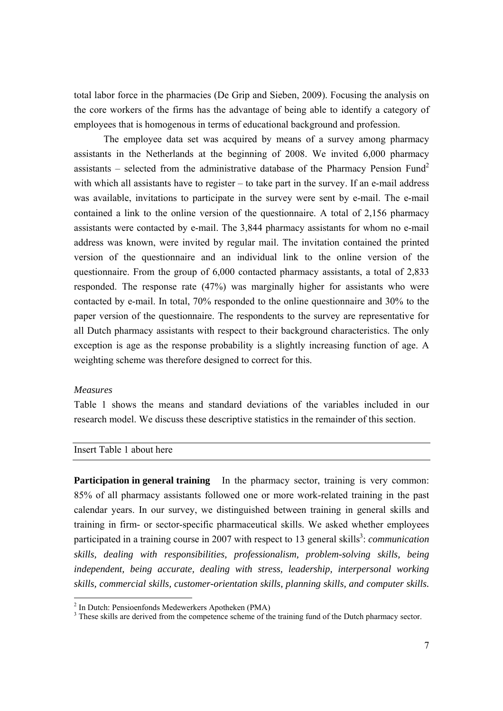total labor force in the pharmacies (De Grip and Sieben, 2009). Focusing the analysis on the core workers of the firms has the advantage of being able to identify a category of employees that is homogenous in terms of educational background and profession.

The employee data set was acquired by means of a survey among pharmacy assistants in the Netherlands at the beginning of 2008. We invited 6,000 pharmacy assistants – selected from the administrative database of the Pharmacy Pension Fund<sup>2</sup> with which all assistants have to register – to take part in the survey. If an e-mail address was available, invitations to participate in the survey were sent by e-mail. The e-mail contained a link to the online version of the questionnaire. A total of 2,156 pharmacy assistants were contacted by e-mail. The 3,844 pharmacy assistants for whom no e-mail address was known, were invited by regular mail. The invitation contained the printed version of the questionnaire and an individual link to the online version of the questionnaire. From the group of 6,000 contacted pharmacy assistants, a total of 2,833 responded. The response rate (47%) was marginally higher for assistants who were contacted by e-mail. In total, 70% responded to the online questionnaire and 30% to the paper version of the questionnaire. The respondents to the survey are representative for all Dutch pharmacy assistants with respect to their background characteristics. The only exception is age as the response probability is a slightly increasing function of age. A weighting scheme was therefore designed to correct for this.

#### *Measures*

Table 1 shows the means and standard deviations of the variables included in our research model. We discuss these descriptive statistics in the remainder of this section.

#### Insert Table 1 about here

**Participation in general training** In the pharmacy sector, training is very common: 85% of all pharmacy assistants followed one or more work-related training in the past calendar years. In our survey, we distinguished between training in general skills and training in firm- or sector-specific pharmaceutical skills. We asked whether employees participated in a training course in 2007 with respect to 13 general skills<sup>3</sup>: *communication skills, dealing with responsibilities, professionalism, problem-solving skills, being independent, being accurate, dealing with stress, leadership, interpersonal working skills, commercial skills, customer-orientation skills, planning skills, and computer skills.*

<sup>&</sup>lt;sup>2</sup> In Dutch: Pensioenfonds Medewerkers Apotheken (PMA)

 $3$  These skills are derived from the competence scheme of the training fund of the Dutch pharmacy sector.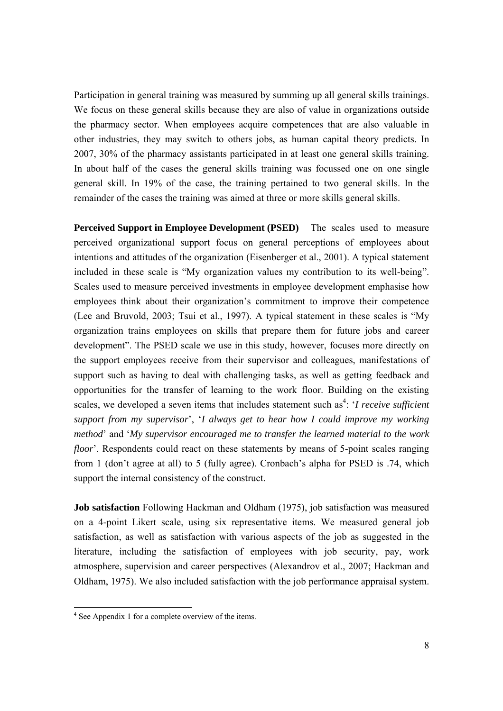Participation in general training was measured by summing up all general skills trainings. We focus on these general skills because they are also of value in organizations outside the pharmacy sector. When employees acquire competences that are also valuable in other industries, they may switch to others jobs, as human capital theory predicts. In 2007, 30% of the pharmacy assistants participated in at least one general skills training. In about half of the cases the general skills training was focussed one on one single general skill. In 19% of the case, the training pertained to two general skills. In the remainder of the cases the training was aimed at three or more skills general skills.

**Perceived Support in Employee Development (PSED)** The scales used to measure perceived organizational support focus on general perceptions of employees about intentions and attitudes of the organization (Eisenberger et al., 2001). A typical statement included in these scale is "My organization values my contribution to its well-being". Scales used to measure perceived investments in employee development emphasise how employees think about their organization's commitment to improve their competence (Lee and Bruvold, 2003; Tsui et al., 1997). A typical statement in these scales is "My organization trains employees on skills that prepare them for future jobs and career development". The PSED scale we use in this study, however, focuses more directly on the support employees receive from their supervisor and colleagues, manifestations of support such as having to deal with challenging tasks, as well as getting feedback and opportunities for the transfer of learning to the work floor. Building on the existing scales, we developed a seven items that includes statement such as<sup>4</sup>: '*I receive sufficient support from my supervisor*', '*I always get to hear how I could improve my working method*' and '*My supervisor encouraged me to transfer the learned material to the work floor*'. Respondents could react on these statements by means of 5-point scales ranging from 1 (don't agree at all) to 5 (fully agree). Cronbach's alpha for PSED is .74, which support the internal consistency of the construct.

**Job satisfaction** Following Hackman and Oldham (1975), job satisfaction was measured on a 4-point Likert scale, using six representative items. We measured general job satisfaction, as well as satisfaction with various aspects of the job as suggested in the literature, including the satisfaction of employees with job security, pay, work atmosphere, supervision and career perspectives (Alexandrov et al., 2007; Hackman and Oldham, 1975). We also included satisfaction with the job performance appraisal system.

 4 See Appendix 1 for a complete overview of the items.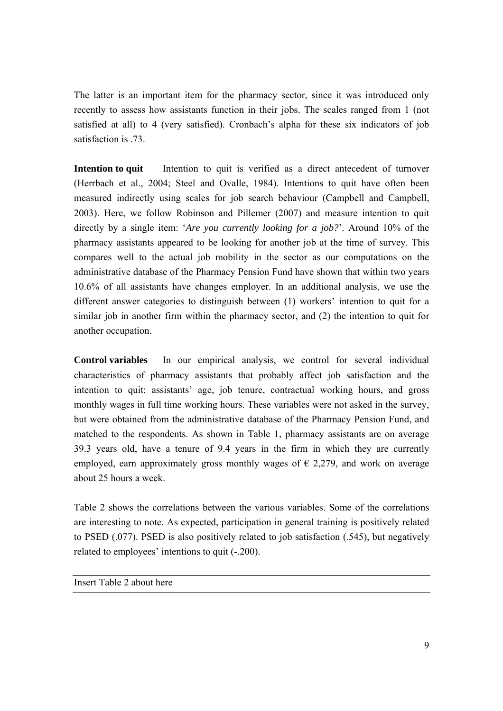The latter is an important item for the pharmacy sector, since it was introduced only recently to assess how assistants function in their jobs. The scales ranged from 1 (not satisfied at all) to 4 (very satisfied). Cronbach's alpha for these six indicators of job satisfaction is .73.

**Intention to quit** Intention to quit is verified as a direct antecedent of turnover (Herrbach et al., 2004; Steel and Ovalle, 1984). Intentions to quit have often been measured indirectly using scales for job search behaviour (Campbell and Campbell, 2003). Here, we follow Robinson and Pillemer (2007) and measure intention to quit directly by a single item: '*Are you currently looking for a job?*'. Around 10% of the pharmacy assistants appeared to be looking for another job at the time of survey. This compares well to the actual job mobility in the sector as our computations on the administrative database of the Pharmacy Pension Fund have shown that within two years 10.6% of all assistants have changes employer. In an additional analysis, we use the different answer categories to distinguish between (1) workers' intention to quit for a similar job in another firm within the pharmacy sector, and (2) the intention to quit for another occupation.

**Control variables** In our empirical analysis, we control for several individual characteristics of pharmacy assistants that probably affect job satisfaction and the intention to quit: assistants' age, job tenure, contractual working hours, and gross monthly wages in full time working hours. These variables were not asked in the survey, but were obtained from the administrative database of the Pharmacy Pension Fund, and matched to the respondents. As shown in Table 1, pharmacy assistants are on average 39.3 years old, have a tenure of 9.4 years in the firm in which they are currently employed, earn approximately gross monthly wages of  $\epsilon$  2,279, and work on average about 25 hours a week.

Table 2 shows the correlations between the various variables. Some of the correlations are interesting to note. As expected, participation in general training is positively related to PSED (.077). PSED is also positively related to job satisfaction (.545), but negatively related to employees' intentions to quit (-.200).

Insert Table 2 about here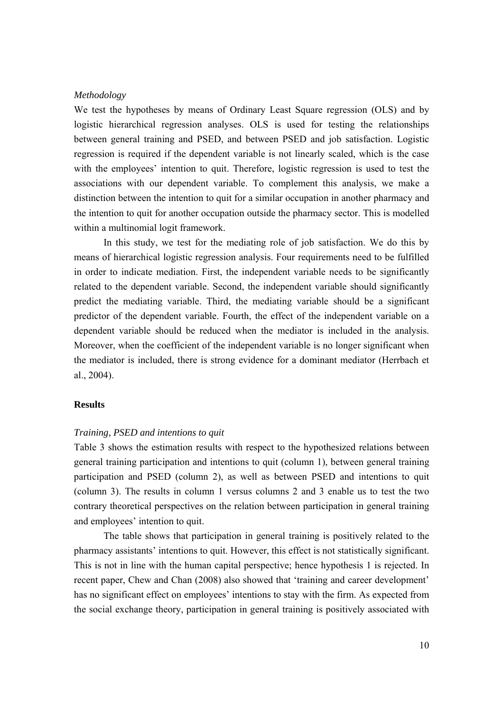#### *Methodology*

We test the hypotheses by means of Ordinary Least Square regression (OLS) and by logistic hierarchical regression analyses. OLS is used for testing the relationships between general training and PSED, and between PSED and job satisfaction. Logistic regression is required if the dependent variable is not linearly scaled, which is the case with the employees' intention to quit. Therefore, logistic regression is used to test the associations with our dependent variable. To complement this analysis, we make a distinction between the intention to quit for a similar occupation in another pharmacy and the intention to quit for another occupation outside the pharmacy sector. This is modelled within a multinomial logit framework.

In this study, we test for the mediating role of job satisfaction. We do this by means of hierarchical logistic regression analysis. Four requirements need to be fulfilled in order to indicate mediation. First, the independent variable needs to be significantly related to the dependent variable. Second, the independent variable should significantly predict the mediating variable. Third, the mediating variable should be a significant predictor of the dependent variable. Fourth, the effect of the independent variable on a dependent variable should be reduced when the mediator is included in the analysis. Moreover, when the coefficient of the independent variable is no longer significant when the mediator is included, there is strong evidence for a dominant mediator (Herrbach et al., 2004).

#### **Results**

#### *Training, PSED and intentions to quit*

Table 3 shows the estimation results with respect to the hypothesized relations between general training participation and intentions to quit (column 1), between general training participation and PSED (column 2), as well as between PSED and intentions to quit (column 3). The results in column 1 versus columns 2 and 3 enable us to test the two contrary theoretical perspectives on the relation between participation in general training and employees' intention to quit.

 The table shows that participation in general training is positively related to the pharmacy assistants' intentions to quit. However, this effect is not statistically significant. This is not in line with the human capital perspective; hence hypothesis 1 is rejected. In recent paper, Chew and Chan (2008) also showed that 'training and career development' has no significant effect on employees' intentions to stay with the firm. As expected from the social exchange theory, participation in general training is positively associated with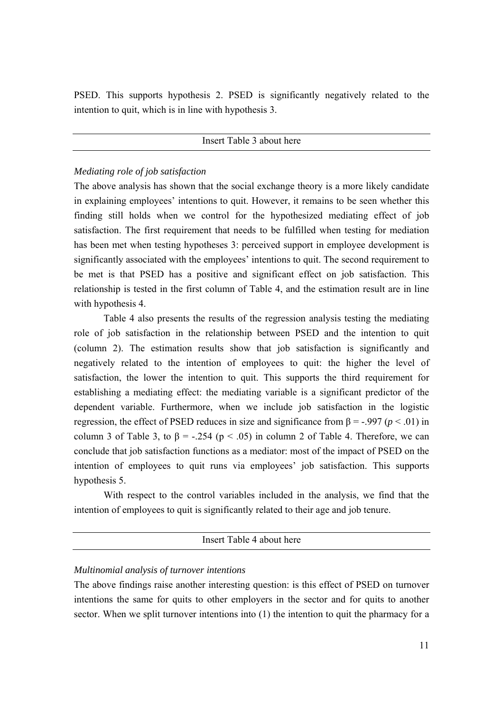PSED. This supports hypothesis 2. PSED is significantly negatively related to the intention to quit, which is in line with hypothesis 3.

#### Insert Table 3 about here

#### *Mediating role of job satisfaction*

The above analysis has shown that the social exchange theory is a more likely candidate in explaining employees' intentions to quit. However, it remains to be seen whether this finding still holds when we control for the hypothesized mediating effect of job satisfaction. The first requirement that needs to be fulfilled when testing for mediation has been met when testing hypotheses 3: perceived support in employee development is significantly associated with the employees' intentions to quit. The second requirement to be met is that PSED has a positive and significant effect on job satisfaction. This relationship is tested in the first column of Table 4, and the estimation result are in line with hypothesis 4.

Table 4 also presents the results of the regression analysis testing the mediating role of job satisfaction in the relationship between PSED and the intention to quit (column 2). The estimation results show that job satisfaction is significantly and negatively related to the intention of employees to quit: the higher the level of satisfaction, the lower the intention to quit. This supports the third requirement for establishing a mediating effect: the mediating variable is a significant predictor of the dependent variable. Furthermore, when we include job satisfaction in the logistic regression, the effect of PSED reduces in size and significance from  $\beta$  = -.997 ( $p$  < .01) in column 3 of Table 3, to  $\beta$  = -.254 (p < .05) in column 2 of Table 4. Therefore, we can conclude that job satisfaction functions as a mediator: most of the impact of PSED on the intention of employees to quit runs via employees' job satisfaction. This supports hypothesis 5.

 With respect to the control variables included in the analysis, we find that the intention of employees to quit is significantly related to their age and job tenure.

Insert Table 4 about here

#### *Multinomial analysis of turnover intentions*

The above findings raise another interesting question: is this effect of PSED on turnover intentions the same for quits to other employers in the sector and for quits to another sector. When we split turnover intentions into (1) the intention to quit the pharmacy for a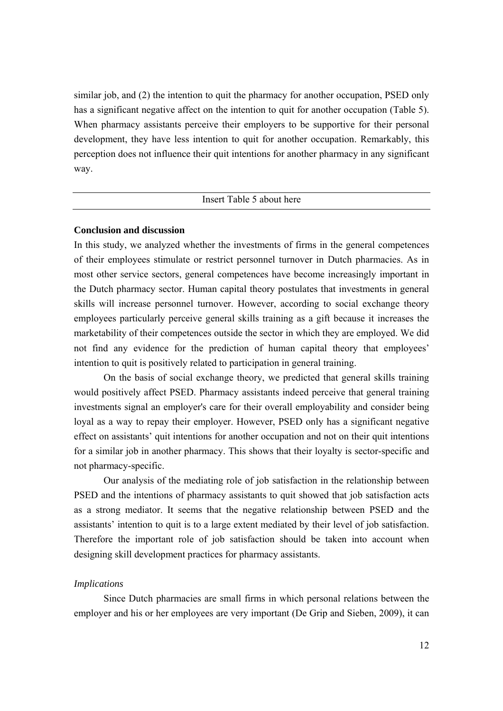similar job, and (2) the intention to quit the pharmacy for another occupation, PSED only has a significant negative affect on the intention to quit for another occupation (Table 5). When pharmacy assistants perceive their employers to be supportive for their personal development, they have less intention to quit for another occupation. Remarkably, this perception does not influence their quit intentions for another pharmacy in any significant way.

#### Insert Table 5 about here

#### **Conclusion and discussion**

In this study, we analyzed whether the investments of firms in the general competences of their employees stimulate or restrict personnel turnover in Dutch pharmacies. As in most other service sectors, general competences have become increasingly important in the Dutch pharmacy sector. Human capital theory postulates that investments in general skills will increase personnel turnover. However, according to social exchange theory employees particularly perceive general skills training as a gift because it increases the marketability of their competences outside the sector in which they are employed. We did not find any evidence for the prediction of human capital theory that employees' intention to quit is positively related to participation in general training.

On the basis of social exchange theory, we predicted that general skills training would positively affect PSED. Pharmacy assistants indeed perceive that general training investments signal an employer's care for their overall employability and consider being loyal as a way to repay their employer. However, PSED only has a significant negative effect on assistants' quit intentions for another occupation and not on their quit intentions for a similar job in another pharmacy. This shows that their loyalty is sector-specific and not pharmacy-specific.

Our analysis of the mediating role of job satisfaction in the relationship between PSED and the intentions of pharmacy assistants to quit showed that job satisfaction acts as a strong mediator. It seems that the negative relationship between PSED and the assistants' intention to quit is to a large extent mediated by their level of job satisfaction. Therefore the important role of job satisfaction should be taken into account when designing skill development practices for pharmacy assistants.

#### *Implications*

Since Dutch pharmacies are small firms in which personal relations between the employer and his or her employees are very important (De Grip and Sieben, 2009), it can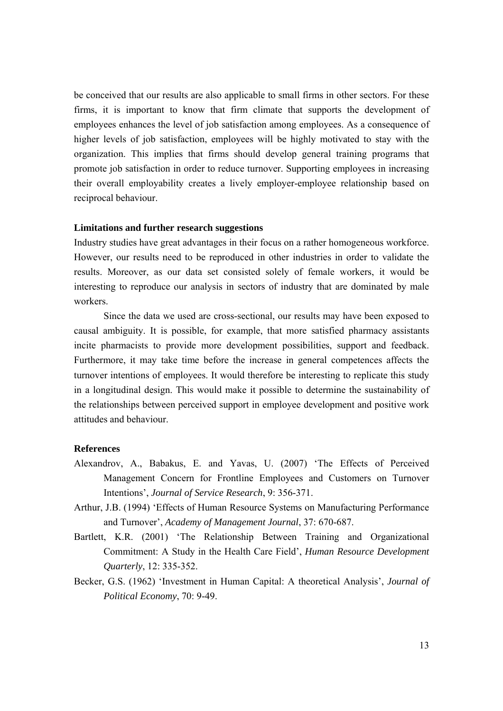be conceived that our results are also applicable to small firms in other sectors. For these firms, it is important to know that firm climate that supports the development of employees enhances the level of job satisfaction among employees. As a consequence of higher levels of job satisfaction, employees will be highly motivated to stay with the organization. This implies that firms should develop general training programs that promote job satisfaction in order to reduce turnover. Supporting employees in increasing their overall employability creates a lively employer-employee relationship based on reciprocal behaviour.

#### **Limitations and further research suggestions**

Industry studies have great advantages in their focus on a rather homogeneous workforce. However, our results need to be reproduced in other industries in order to validate the results. Moreover, as our data set consisted solely of female workers, it would be interesting to reproduce our analysis in sectors of industry that are dominated by male workers.

Since the data we used are cross-sectional, our results may have been exposed to causal ambiguity. It is possible, for example, that more satisfied pharmacy assistants incite pharmacists to provide more development possibilities, support and feedback. Furthermore, it may take time before the increase in general competences affects the turnover intentions of employees. It would therefore be interesting to replicate this study in a longitudinal design. This would make it possible to determine the sustainability of the relationships between perceived support in employee development and positive work attitudes and behaviour.

#### **References**

- Alexandrov, A., Babakus, E. and Yavas, U. (2007) 'The Effects of Perceived Management Concern for Frontline Employees and Customers on Turnover Intentions', *Journal of Service Research*, 9: 356-371.
- Arthur, J.B. (1994) 'Effects of Human Resource Systems on Manufacturing Performance and Turnover', *Academy of Management Journal*, 37: 670-687.
- Bartlett, K.R. (2001) 'The Relationship Between Training and Organizational Commitment: A Study in the Health Care Field', *Human Resource Development Quarterly*, 12: 335-352.
- Becker, G.S. (1962) 'Investment in Human Capital: A theoretical Analysis', *Journal of Political Economy*, 70: 9-49.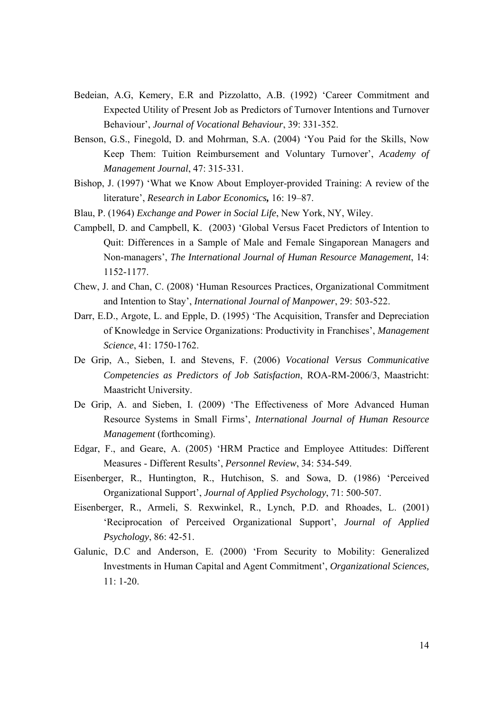- Bedeian, A.G, Kemery, E.R and Pizzolatto, A.B. (1992) 'Career Commitment and Expected Utility of Present Job as Predictors of Turnover Intentions and Turnover Behaviour', *Journal of Vocational Behaviour*, 39: 331-352.
- Benson, G.S., Finegold, D. and Mohrman, S.A. (2004) 'You Paid for the Skills, Now Keep Them: Tuition Reimbursement and Voluntary Turnover', *Academy of Management Journal*, 47: 315-331.
- Bishop, J. (1997) 'What we Know About Employer-provided Training: A review of the literature', *Research in Labor Economics,* 16: 19–87.
- Blau, P. (1964) *Exchange and Power in Social Life*, New York, NY, Wiley.
- Campbell, D. and Campbell, K. (2003) 'Global Versus Facet Predictors of Intention to Quit: Differences in a Sample of Male and Female Singaporean Managers and Non-managers', *The International Journal of Human Resource Management*, 14: 1152-1177.
- Chew, J. and Chan, C. (2008) 'Human Resources Practices, Organizational Commitment and Intention to Stay', *International Journal of Manpower*, 29: 503-522.
- Darr, E.D., Argote, L. and Epple, D. (1995) 'The Acquisition, Transfer and Depreciation of Knowledge in Service Organizations: Productivity in Franchises', *Management Science*, 41: 1750-1762.
- De Grip, A., Sieben, I. and Stevens, F. (2006) *Vocational Versus Communicative Competencies as Predictors of Job Satisfaction*, ROA-RM-2006/3, Maastricht: Maastricht University.
- De Grip, A. and Sieben, I. (2009) 'The Effectiveness of More Advanced Human Resource Systems in Small Firms', *International Journal of Human Resource Management* (forthcoming).
- Edgar, F., and Geare, A. (2005) 'HRM Practice and Employee Attitudes: Different Measures - Different Results', *Personnel Review*, 34: 534-549.
- Eisenberger, R., Huntington, R., Hutchison, S. and Sowa, D. (1986) 'Perceived Organizational Support', *Journal of Applied Psychology*, 71: 500-507.
- Eisenberger, R., Armeli, S. Rexwinkel, R., Lynch, P.D. and Rhoades, L. (2001) 'Reciprocation of Perceived Organizational Support', *Journal of Applied Psychology*, 86: 42-51.
- Galunic, D.C and Anderson, E. (2000) 'From Security to Mobility: Generalized Investments in Human Capital and Agent Commitment', *Organizational Sciences,* 11: 1-20.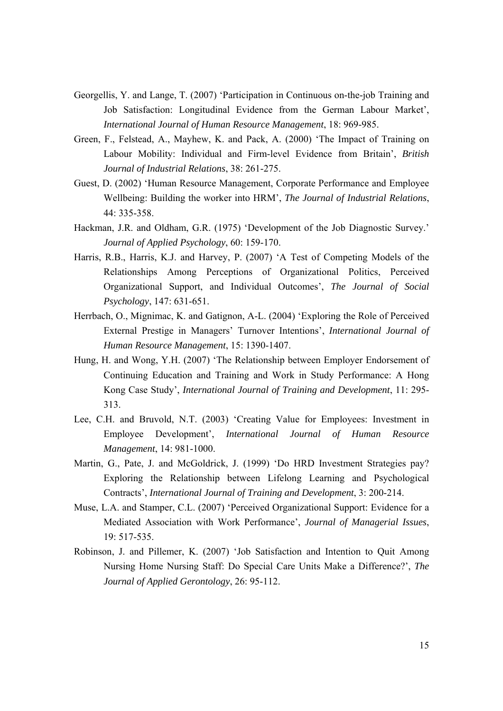- Georgellis, Y. and Lange, T. (2007) 'Participation in Continuous on-the-job Training and Job Satisfaction: Longitudinal Evidence from the German Labour Market', *International Journal of Human Resource Management*, 18: 969-985.
- Green, F., Felstead, A., Mayhew, K. and Pack, A. (2000) 'The Impact of Training on Labour Mobility: Individual and Firm-level Evidence from Britain', *British Journal of Industrial Relations*, 38: 261-275.
- Guest, D. (2002) 'Human Resource Management, Corporate Performance and Employee Wellbeing: Building the worker into HRM', *The Journal of Industrial Relations*, 44: 335-358.
- Hackman, J.R. and Oldham, G.R. (1975) 'Development of the Job Diagnostic Survey.' *Journal of Applied Psychology*, 60: 159-170.
- Harris, R.B., Harris, K.J. and Harvey, P. (2007) 'A Test of Competing Models of the Relationships Among Perceptions of Organizational Politics, Perceived Organizational Support, and Individual Outcomes', *The Journal of Social Psychology*, 147: 631-651.
- Herrbach, O., Mignimac, K. and Gatignon, A-L. (2004) 'Exploring the Role of Perceived External Prestige in Managers' Turnover Intentions', *International Journal of Human Resource Management*, 15: 1390-1407.
- Hung, H. and Wong, Y.H. (2007) 'The Relationship between Employer Endorsement of Continuing Education and Training and Work in Study Performance: A Hong Kong Case Study', *International Journal of Training and Development*, 11: 295- 313.
- Lee, C.H. and Bruvold, N.T. (2003) 'Creating Value for Employees: Investment in Employee Development', *International Journal of Human Resource Management*, 14: 981-1000.
- Martin, G., Pate, J. and McGoldrick, J. (1999) 'Do HRD Investment Strategies pay? Exploring the Relationship between Lifelong Learning and Psychological Contracts', *International Journal of Training and Development*, 3: 200-214.
- Muse, L.A. and Stamper, C.L. (2007) 'Perceived Organizational Support: Evidence for a Mediated Association with Work Performance', *Journal of Managerial Issues*, 19: 517-535.
- Robinson, J. and Pillemer, K. (2007) 'Job Satisfaction and Intention to Quit Among Nursing Home Nursing Staff: Do Special Care Units Make a Difference?', *The Journal of Applied Gerontology*, 26: 95-112.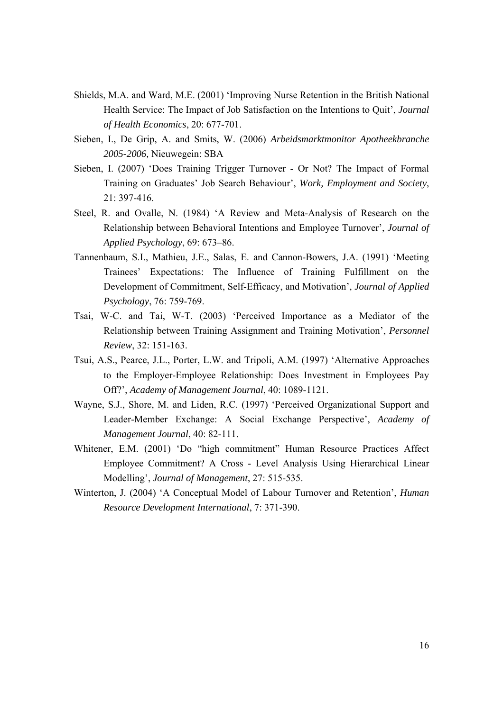- Shields, M.A. and Ward, M.E. (2001) 'Improving Nurse Retention in the British National Health Service: The Impact of Job Satisfaction on the Intentions to Quit', *Journal of Health Economics*, 20: 677-701.
- Sieben, I., De Grip, A. and Smits, W. (2006) *Arbeidsmarktmonitor Apotheekbranche 2005-2006,* Nieuwegein: SBA
- Sieben, I. (2007) 'Does Training Trigger Turnover Or Not? The Impact of Formal Training on Graduates' Job Search Behaviour', *Work, Employment and Society*, 21: 397-416.
- Steel, R. and Ovalle, N. (1984) 'A Review and Meta-Analysis of Research on the Relationship between Behavioral Intentions and Employee Turnover', *Journal of Applied Psychology*, 69: 673–86.
- Tannenbaum, S.I., Mathieu, J.E., Salas, E. and Cannon-Bowers, J.A. (1991) 'Meeting Trainees' Expectations: The Influence of Training Fulfillment on the Development of Commitment, Self-Efficacy, and Motivation', *Journal of Applied Psychology*, 76: 759-769.
- Tsai, W-C. and Tai, W-T. (2003) 'Perceived Importance as a Mediator of the Relationship between Training Assignment and Training Motivation', *Personnel Review*, 32: 151-163.
- Tsui, A.S., Pearce, J.L., Porter, L.W. and Tripoli, A.M. (1997) 'Alternative Approaches to the Employer-Employee Relationship: Does Investment in Employees Pay Off?', *Academy of Management Journal*, 40: 1089-1121.
- Wayne, S.J., Shore, M. and Liden, R.C. (1997) 'Perceived Organizational Support and Leader-Member Exchange: A Social Exchange Perspective', *Academy of Management Journal*, 40: 82-111.
- Whitener, E.M. (2001) 'Do "high commitment" Human Resource Practices Affect Employee Commitment? A Cross - Level Analysis Using Hierarchical Linear Modelling', *Journal of Management*, 27: 515-535.
- Winterton, J. (2004) 'A Conceptual Model of Labour Turnover and Retention', *Human Resource Development International*, 7: 371-390.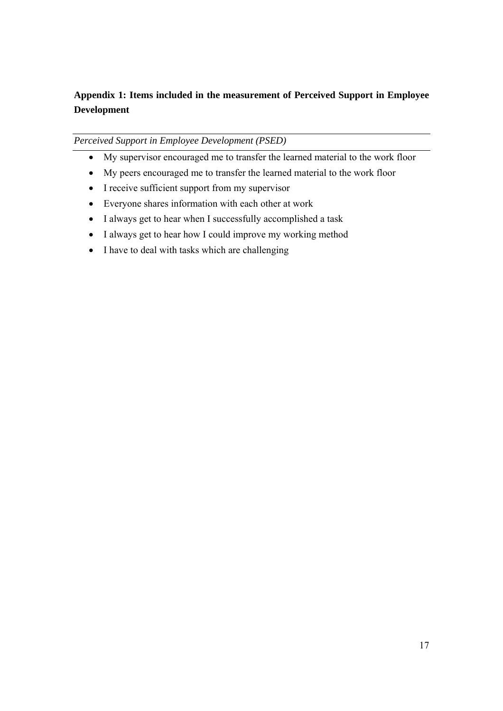## **Appendix 1: Items included in the measurement of Perceived Support in Employee Development**

### *Perceived Support in Employee Development (PSED)*

- My supervisor encouraged me to transfer the learned material to the work floor
- My peers encouraged me to transfer the learned material to the work floor
- I receive sufficient support from my supervisor
- Everyone shares information with each other at work
- I always get to hear when I successfully accomplished a task
- I always get to hear how I could improve my working method
- I have to deal with tasks which are challenging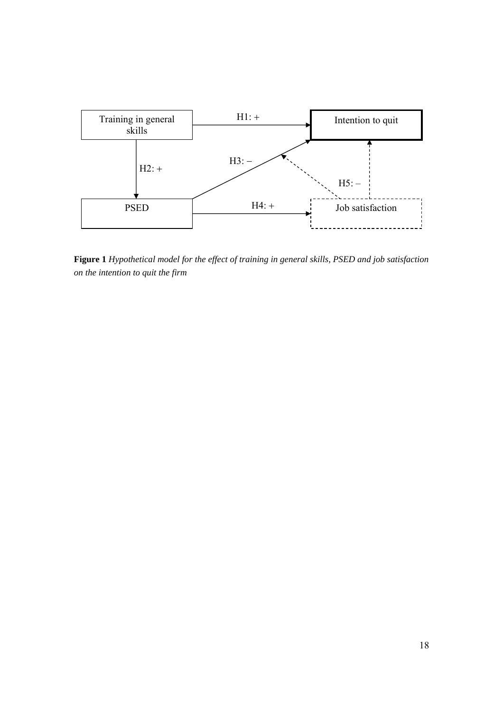

**Figure 1** *Hypothetical model for the effect of training in general skills, PSED and job satisfaction on the intention to quit the firm*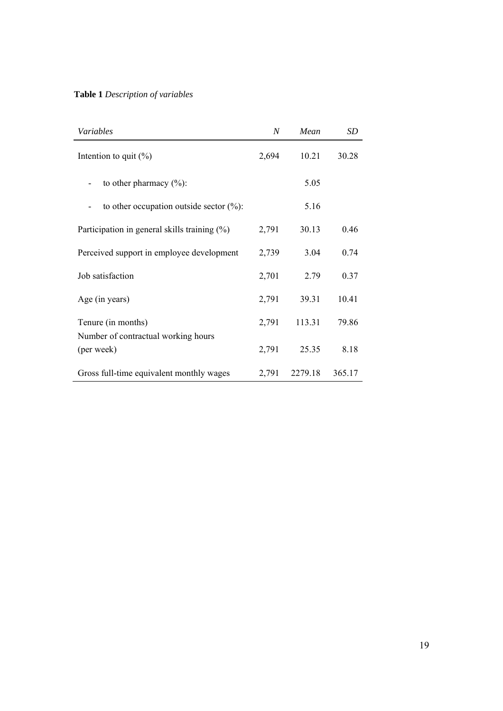## **Table 1** *Description of variables*

| Variables                                         | N     | Mean    | SD     |
|---------------------------------------------------|-------|---------|--------|
| Intention to quit $(\%)$                          | 2,694 | 10.21   | 30.28  |
| to other pharmacy $(\% )$ :                       |       | 5.05    |        |
| to other occupation outside sector $(\% )$ :      |       | 5.16    |        |
| Participation in general skills training $(\%)$   | 2,791 | 30.13   | 0.46   |
| Perceived support in employee development         | 2,739 | 3.04    | 0.74   |
| Job satisfaction                                  | 2,701 | 2.79    | 0.37   |
| Age (in years)                                    | 2,791 | 39.31   | 10.41  |
| Tenure (in months)                                | 2,791 | 113.31  | 79.86  |
| Number of contractual working hours<br>(per week) | 2,791 | 25.35   | 8.18   |
| Gross full-time equivalent monthly wages          | 2,791 | 2279.18 | 365.17 |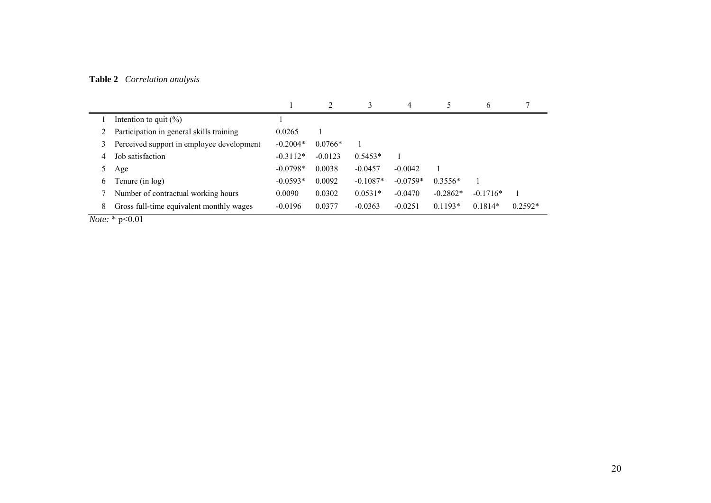## **Table 2** *Correlation analysis*

|   |                                           |            |           | 3          | 4          |            | b          |           |
|---|-------------------------------------------|------------|-----------|------------|------------|------------|------------|-----------|
|   | Intention to quit $(\% )$                 |            |           |            |            |            |            |           |
|   | Participation in general skills training  | 0.0265     |           |            |            |            |            |           |
|   | Perceived support in employee development | $-0.2004*$ | $0.0766*$ |            |            |            |            |           |
|   | Job satisfaction                          | $-0.3112*$ | $-0.0123$ | $0.5453*$  |            |            |            |           |
|   | Age                                       | $-0.0798*$ | 0.0038    | $-0.0457$  | $-0.0042$  |            |            |           |
| 6 | Tenure (in log)                           | $-0.0593*$ | 0.0092    | $-0.1087*$ | $-0.0759*$ | $0.3556*$  |            |           |
|   | Number of contractual working hours       | 0.0090     | 0.0302    | $0.0531*$  | $-0.0470$  | $-0.2862*$ | $-0.1716*$ |           |
| 8 | Gross full-time equivalent monthly wages  | $-0.0196$  | 0.0377    | $-0.0363$  | $-0.0251$  | $0.1193*$  | $0.1814*$  | $0.2592*$ |

*Note:* \* p<0.01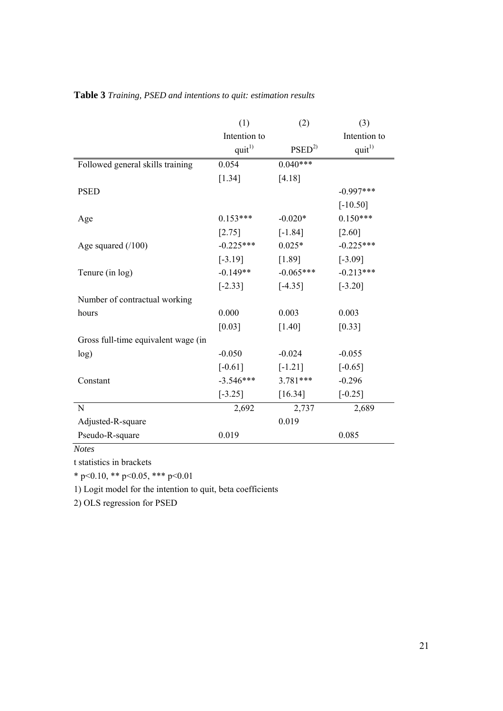|                                     | (1)          | (2)               | (3)          |
|-------------------------------------|--------------|-------------------|--------------|
|                                     | Intention to |                   | Intention to |
|                                     | $quit^{1)}$  | PSED <sup>2</sup> | $quit^{1)}$  |
| Followed general skills training    | 0.054        | $0.040***$        |              |
|                                     | [1.34]       | [4.18]            |              |
| <b>PSED</b>                         |              |                   | $-0.997***$  |
|                                     |              |                   | $[-10.50]$   |
| Age                                 | $0.153***$   | $-0.020*$         | $0.150***$   |
|                                     | $[2.75]$     | $[-1.84]$         | $[2.60]$     |
| Age squared $(100)$                 | $-0.225***$  | $0.025*$          | $-0.225***$  |
|                                     | $[-3.19]$    | [1.89]            | $[-3.09]$    |
| Tenure (in log)                     | $-0.149**$   | $-0.065***$       | $-0.213***$  |
|                                     | $[-2.33]$    | $[-4.35]$         | $[-3.20]$    |
| Number of contractual working       |              |                   |              |
| hours                               | 0.000        | 0.003             | 0.003        |
|                                     | $[0.03]$     | $[1.40]$          | $[0.33]$     |
| Gross full-time equivalent wage (in |              |                   |              |
| log)                                | $-0.050$     | $-0.024$          | $-0.055$     |
|                                     | $[-0.61]$    | $[-1.21]$         | $[-0.65]$    |
| Constant                            | $-3.546***$  | 3.781***          | $-0.296$     |
|                                     | $[-3.25]$    | $[16.34]$         | $[-0.25]$    |
| N                                   | 2,692        | 2,737             | 2,689        |
| Adjusted-R-square                   |              | 0.019             |              |
| Pseudo-R-square                     | 0.019        |                   | 0.085        |

## **Table 3** *Training, PSED and intentions to quit: estimation results*

*Notes* 

t statistics in brackets

\* p<0.10, \*\* p<0.05, \*\*\* p<0.01

1) Logit model for the intention to quit, beta coefficients

2) OLS regression for PSED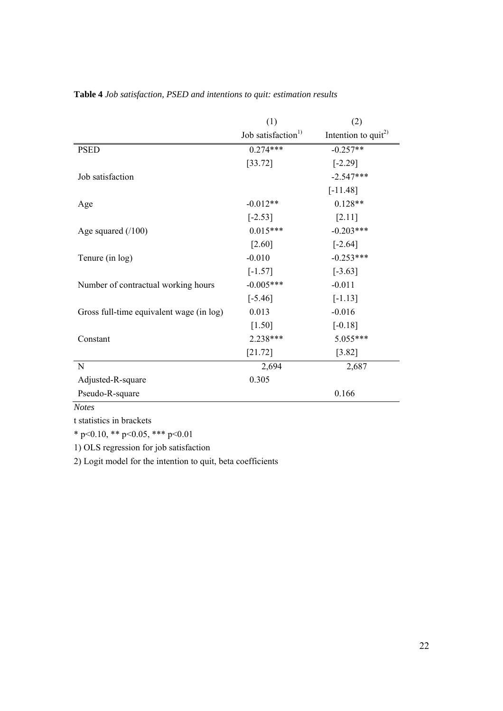|                                          | (1)                            | (2)                             |
|------------------------------------------|--------------------------------|---------------------------------|
|                                          | Job satisfaction <sup>1)</sup> | Intention to quit <sup>2)</sup> |
| <b>PSED</b>                              | $0.274***$                     | $-0.257**$                      |
|                                          | [33.72]                        | $[-2.29]$                       |
| Job satisfaction                         |                                | $-2.547***$                     |
|                                          |                                | $[-11.48]$                      |
| Age                                      | $-0.012**$                     | $0.128**$                       |
|                                          | $[-2.53]$                      | [2.11]                          |
| Age squared $(100)$                      | $0.015***$                     | $-0.203***$                     |
|                                          | $[2.60]$                       | $[-2.64]$                       |
| Tenure (in log)                          | $-0.010$                       | $-0.253***$                     |
|                                          | $[-1.57]$                      | $[-3.63]$                       |
| Number of contractual working hours      | $-0.005***$                    | $-0.011$                        |
|                                          | $[-5.46]$                      | $[-1.13]$                       |
| Gross full-time equivalent wage (in log) | 0.013                          | $-0.016$                        |
|                                          | $[1.50]$                       | $[-0.18]$                       |
| Constant                                 | 2.238***                       | 5.055***                        |
|                                          | $[21.72]$                      | $[3.82]$                        |
| N                                        | 2,694                          | 2,687                           |
| Adjusted-R-square                        | 0.305                          |                                 |
| Pseudo-R-square                          |                                | 0.166                           |

**Table 4** *Job satisfaction, PSED and intentions to quit: estimation results*

*Notes* 

t statistics in brackets

\* p<0.10, \*\* p<0.05, \*\*\* p<0.01

1) OLS regression for job satisfaction

2) Logit model for the intention to quit, beta coefficients